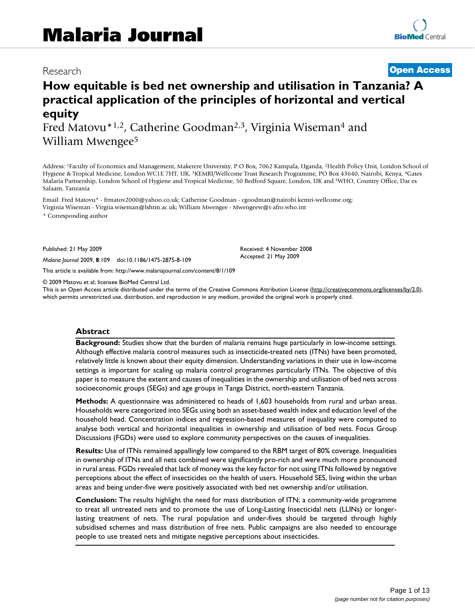# Research **[Open Access](http://www.biomedcentral.com/info/about/charter/)**

# **How equitable is bed net ownership and utilisation in Tanzania? A practical application of the principles of horizontal and vertical equity**

Fred Matovu<sup>\*1,2</sup>, Catherine Goodman<sup>2,3</sup>, Virginia Wiseman<sup>4</sup> and William Mwengee<sup>5</sup>

Address: 1Faculty of Economics and Management, Makerere University, P.O Box, 7062 Kampala, Uganda, 2Health Policy Unit, London School of Hygiene & Tropical Medicine, London WC1E 7HT, UK, 3KEMRI/Wellcome Trust Research Programme, PO Box 43640, Nairobi, Kenya, 4Gates Malaria Partnership, London School of Hygiene and Tropical Medicine, 50 Bedford Square, London, UK and 5WHO, Country Office, Dar es Salaam, Tanzania

Email: Fred Matovu\* - frmatov2000@yahoo.co.uk; Catherine Goodman - cgoodman@nairobi.kemri-wellcome.org; Virginia Wiseman - Virgiia.wiseman@lshtm.ac.uk; William Mwengee - Mwengeew@t-afro.who.int

\* Corresponding author

Published: 21 May 2009

*Malaria Journal* 2009, **8**:109 doi:10.1186/1475-2875-8-109

[This article is available from: http://www.malariajournal.com/content/8/1/109](http://www.malariajournal.com/content/8/1/109)

© 2009 Matovu et al; licensee BioMed Central Ltd.

This is an Open Access article distributed under the terms of the Creative Commons Attribution License [\(http://creativecommons.org/licenses/by/2.0\)](http://creativecommons.org/licenses/by/2.0), which permits unrestricted use, distribution, and reproduction in any medium, provided the original work is properly cited.

Received: 4 November 2008 Accepted: 21 May 2009

#### **Abstract**

**Background:** Studies show that the burden of malaria remains huge particularly in low-income settings. Although effective malaria control measures such as insecticide-treated nets (ITNs) have been promoted, relatively little is known about their equity dimension. Understanding variations in their use in low-income settings is important for scaling up malaria control programmes particularly ITNs. The objective of this paper is to measure the extent and causes of inequalities in the ownership and utilisation of bed nets across socioeconomic groups (SEGs) and age groups in Tanga District, north-eastern Tanzania.

**Methods:** A questionnaire was administered to heads of 1,603 households from rural and urban areas. Households were categorized into SEGs using both an asset-based wealth index and education level of the household head. Concentration indices and regression-based measures of inequality were computed to analyse both vertical and horizontal inequalities in ownership and utilisation of bed nets. Focus Group Discussions (FGDs) were used to explore community perspectives on the causes of inequalities.

**Results:** Use of ITNs remained appallingly low compared to the RBM target of 80% coverage. Inequalities in ownership of ITNs and all nets combined were significantly pro-rich and were much more pronounced in rural areas. FGDs revealed that lack of money was the key factor for not using ITNs followed by negative perceptions about the effect of insecticides on the health of users. Household SES, living within the urban areas and being under-five were positively associated with bed net ownership and/or utilisation.

**Conclusion:** The results highlight the need for mass distribution of ITN; a community-wide programme to treat all untreated nets and to promote the use of Long-Lasting Insecticidal nets (LLINs) or longerlasting treatment of nets. The rural population and under-fives should be targeted through highly subsidised schemes and mass distribution of free nets. Public campaigns are also needed to encourage people to use treated nets and mitigate negative perceptions about insecticides.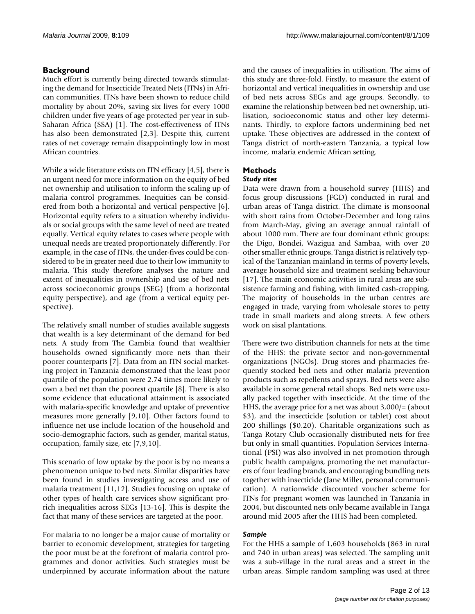# **Background**

Much effort is currently being directed towards stimulating the demand for Insecticide Treated Nets (ITNs) in African communities. ITNs have been shown to reduce child mortality by about 20%, saving six lives for every 1000 children under five years of age protected per year in sub-Saharan Africa (SSA) [[1](#page-11-0)]. The cost-effectiveness of ITNs has also been demonstrated [[2](#page-11-1),[3](#page-11-2)]. Despite this, current rates of net coverage remain disappointingly low in most African countries.

While a wide literature exists on ITN efficacy [[4](#page-11-3),[5\]](#page-11-4), there is an urgent need for more information on the equity of bed net ownership and utilisation to inform the scaling up of malaria control programmes. Inequities can be considered from both a horizontal and vertical perspective [[6](#page-11-5)]. Horizontal equity refers to a situation whereby individuals or social groups with the same level of need are treated equally. Vertical equity relates to cases where people with unequal needs are treated proportionately differently. For example, in the case of ITNs, the under-fives could be considered to be in greater need due to their low immunity to malaria. This study therefore analyses the nature and extent of inequalities in ownership and use of bed nets across socioeconomic groups (SEG) (from a horizontal equity perspective), and age (from a vertical equity perspective).

The relatively small number of studies available suggests that wealth is a key determinant of the demand for bed nets. A study from The Gambia found that wealthier households owned significantly more nets than their poorer counterparts [[7](#page-11-6)]. Data from an ITN social marketing project in Tanzania demonstrated that the least poor quartile of the population were 2.74 times more likely to own a bed net than the poorest quartile [\[8\]](#page-11-7). There is also some evidence that educational attainment is associated with malaria-specific knowledge and uptake of preventive measures more generally [\[9,](#page-11-8)[10\]](#page-11-9). Other factors found to influence net use include location of the household and socio-demographic factors, such as gender, marital status, occupation, family size, etc [\[7](#page-11-6),[9](#page-11-8),[10\]](#page-11-9).

This scenario of low uptake by the poor is by no means a phenomenon unique to bed nets. Similar disparities have been found in studies investigating access and use of malaria treatment [\[11](#page-11-10)[,12](#page-11-11)]. Studies focusing on uptake of other types of health care services show significant prorich inequalities across SEGs [\[13](#page-11-12)[-16\]](#page-11-13). This is despite the fact that many of these services are targeted at the poor.

For malaria to no longer be a major cause of mortality or barrier to economic development, strategies for targeting the poor must be at the forefront of malaria control programmes and donor activities. Such strategies must be underpinned by accurate information about the nature and the causes of inequalities in utilisation. The aims of this study are three-fold. Firstly, to measure the extent of horizontal and vertical inequalities in ownership and use of bed nets across SEGs and age groups. Secondly, to examine the relationship between bed net ownership, utilisation, socioeconomic status and other key determinants. Thirdly, to explore factors undermining bed net uptake. These objectives are addressed in the context of Tanga district of north-eastern Tanzania, a typical low income, malaria endemic African setting.

# **Methods**

### *Study sites*

Data were drawn from a household survey (HHS) and focus group discussions (FGD) conducted in rural and urban areas of Tanga district. The climate is monsoonal with short rains from October-December and long rains from March-May, giving an average annual rainfall of about 1000 mm. There are four dominant ethnic groups: the Digo, Bondei, Wazigua and Sambaa, with over 20 other smaller ethnic groups. Tanga district is relatively typical of the Tanzanian mainland in terms of poverty levels, average household size and treatment seeking behaviour [[17](#page-11-14)]. The main economic activities in rural areas are subsistence farming and fishing, with limited cash-cropping. The majority of households in the urban centres are engaged in trade, varying from wholesale stores to petty trade in small markets and along streets. A few others work on sisal plantations.

There were two distribution channels for nets at the time of the HHS: the private sector and non-governmental organizations (NGOs). Drug stores and pharmacies frequently stocked bed nets and other malaria prevention products such as repellents and sprays. Bed nets were also available in some general retail shops. Bed nets were usually packed together with insecticide. At the time of the HHS, the average price for a net was about 3,000/= (about \$3), and the insecticide (solution or tablet) cost about 200 shillings (\$0.20). Charitable organizations such as Tanga Rotary Club occasionally distributed nets for free but only in small quantities. Population Services International (PSI) was also involved in net promotion through public health campaigns, promoting the net manufacturers of four leading brands, and encouraging bundling nets together with insecticide (Jane Miller, personal communication). A nationwide discounted voucher scheme for ITNs for pregnant women was launched in Tanzania in 2004, but discounted nets only became available in Tanga around mid 2005 after the HHS had been completed.

# *Sample*

For the HHS a sample of 1,603 households (863 in rural and 740 in urban areas) was selected. The sampling unit was a sub-village in the rural areas and a street in the urban areas. Simple random sampling was used at three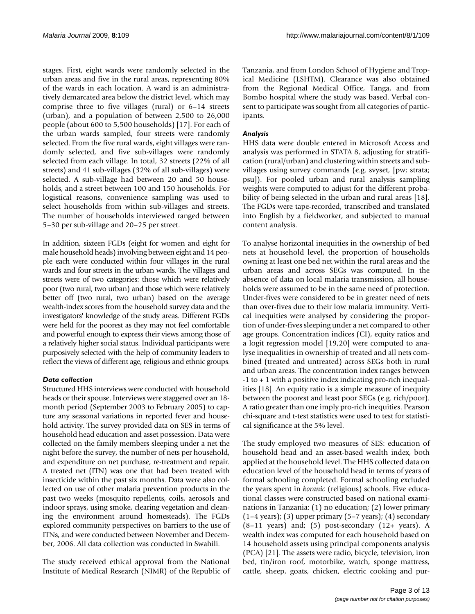stages. First, eight wards were randomly selected in the urban areas and five in the rural areas, representing 80% of the wards in each location. A ward is an administratively demarcated area below the district level, which may comprise three to five villages (rural) or 6–14 streets (urban), and a population of between 2,500 to 26,000 people (about 600 to 5,500 households) [\[17\]](#page-11-14). For each of the urban wards sampled, four streets were randomly selected. From the five rural wards, eight villages were randomly selected, and five sub-villages were randomly selected from each village. In total, 32 streets (22% of all streets) and 41 sub-villages (32% of all sub-villages) were selected. A sub-village had between 20 and 50 households, and a street between 100 and 150 households. For logistical reasons, convenience sampling was used to select households from within sub-villages and streets. The number of households interviewed ranged between 5–30 per sub-village and 20–25 per street.

In addition, sixteen FGDs (eight for women and eight for male household heads) involving between eight and 14 people each were conducted within four villages in the rural wards and four streets in the urban wards. The villages and streets were of two categories: those which were relatively poor (two rural, two urban) and those which were relatively better off (two rural, two urban) based on the average wealth-index scores from the household survey data and the investigators' knowledge of the study areas. Different FGDs were held for the poorest as they may not feel comfortable and powerful enough to express their views among those of a relatively higher social status. Individual participants were purposively selected with the help of community leaders to reflect the views of different age, religious and ethnic groups.

#### *Data collection*

Structured HHS interviews were conducted with household heads or their spouse. Interviews were staggered over an 18 month period (September 2003 to February 2005) to capture any seasonal variations in reported fever and household activity. The survey provided data on SES in terms of household head education and asset possession. Data were collected on the family members sleeping under a net the night before the survey, the number of nets per household, and expenditure on net purchase, re-treatment and repair. A treated net (ITN) was one that had been treated with insecticide within the past six months. Data were also collected on use of other malaria prevention products in the past two weeks (mosquito repellents, coils, aerosols and indoor sprays, using smoke, clearing vegetation and cleaning the environment around homesteads). The FGDs explored community perspectives on barriers to the use of ITNs, and were conducted between November and December, 2006. All data collection was conducted in Swahili.

The study received ethical approval from the National Institute of Medical Research (NIMR) of the Republic of Tanzania, and from London School of Hygiene and Tropical Medicine (LSHTM). Clearance was also obtained from the Regional Medical Office, Tanga, and from Bombo hospital where the study was based. Verbal consent to participate was sought from all categories of participants.

## *Analysis*

HHS data were double entered in Microsoft Access and analysis was performed in STATA 8, adjusting for stratification (rural/urban) and clustering within streets and subvillages using survey commands (e.g. svyset, [pw; strata; psu]). For pooled urban and rural analysis sampling weights were computed to adjust for the different probability of being selected in the urban and rural areas [\[18](#page-11-15)]. The FGDs were tape-recorded, transcribed and translated into English by a fieldworker, and subjected to manual content analysis.

To analyse horizontal inequities in the ownership of bed nets at household level, the proportion of households owning at least one bed net within the rural areas and the urban areas and across SEGs was computed. In the absence of data on local malaria transmission, all households were assumed to be in the same need of protection. Under-fives were considered to be in greater need of nets than over-fives due to their low malaria immunity. Vertical inequities were analysed by considering the proportion of under-fives sleeping under a net compared to other age groups. Concentration indices (CI), equity ratios and a logit regression model [[19](#page-11-16),[20\]](#page-11-17) were computed to analyse inequalities in ownership of treated and all nets combined (treated and untreated) across SEGs both in rural and urban areas. The concentration index ranges between -1 to + 1 with a positive index indicating pro-rich inequalities [\[18](#page-11-15)]. An equity ratio is a simple measure of inequity between the poorest and least poor SEGs (e.g. rich/poor). A ratio greater than one imply pro-rich inequities. Pearson chi-square and t-test statistics were used to test for statistical significance at the 5% level.

The study employed two measures of SES: education of household head and an asset-based wealth index, both applied at the household level. The HHS collected data on education level of the household head in terms of years of formal schooling completed. Formal schooling excluded the years spent in *koranic* (religious) schools. Five educational classes were constructed based on national examinations in Tanzania: (1) no education; (2) lower primary  $(1-4 \text{ years})$ ; (3) upper primary  $(5-7 \text{ years})$ ; (4) secondary  $(8-11 \text{ years})$  and; (5) post-secondary  $(12+\text{ years})$ . A wealth index was computed for each household based on 14 household assets using principal components analysis (PCA) [\[21](#page-11-18)]. The assets were radio, bicycle, television, iron bed, tin/iron roof, motorbike, watch, sponge mattress, cattle, sheep, goats, chicken, electric cooking and pur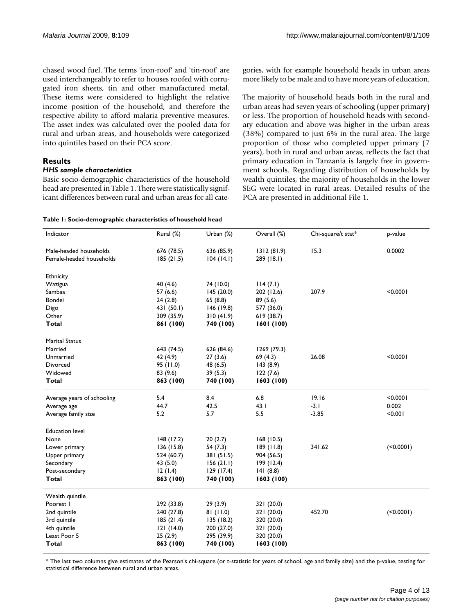chased wood fuel. The terms 'iron-roof' and 'tin-roof' are used interchangeably to refer to houses roofed with corrugated iron sheets, tin and other manufactured metal. These items were considered to highlight the relative income position of the household, and therefore the respective ability to afford malaria preventive measures. The asset index was calculated over the pooled data for rural and urban areas, and households were categorized into quintiles based on their PCA score.

#### **Results**

#### *HHS sample characteristics*

Basic socio-demographic characteristics of the household head are presented in Table [1](#page-3-0). There were statistically significant differences between rural and urban areas for all cate-

<span id="page-3-0"></span>

gories, with for example household heads in urban areas more likely to be male and to have more years of education.

The majority of household heads both in the rural and urban areas had seven years of schooling (upper primary) or less. The proportion of household heads with secondary education and above was higher in the urban areas (38%) compared to just 6% in the rural area. The large proportion of those who completed upper primary (7 years), both in rural and urban areas, reflects the fact that primary education in Tanzania is largely free in government schools. Regarding distribution of households by wealth quintiles, the majority of households in the lower SEG were located in rural areas. Detailed results of the PCA are presented in additional File [1.](#page-11-19)

| Indicator                  | Rural (%)  | Urban (%)  | Overall (%) | Chi-square/t stat* | p-value      |
|----------------------------|------------|------------|-------------|--------------------|--------------|
| Male-headed households     | 676 (78.5) | 636 (85.9) | 1312(81.9)  | 15.3               | 0.0002       |
| Female-headed households   | 185(21.5)  | 104(14.1)  | 289 (18.1)  |                    |              |
| Ethnicity                  |            |            |             |                    |              |
| Wazigua                    | 40 $(4.6)$ | 74 (10.0)  | 114(7.1)    |                    |              |
| Sambaa                     | 57(6.6)    | 145(20.0)  | 202 (12.6)  | 207.9              | < 0.0001     |
| Bondei                     | 24(2.8)    | 65 (8.8)   | 89 (5.6)    |                    |              |
| Digo                       | 431 (50.1) | 146 (19.8) | 577 (36.0)  |                    |              |
| Other                      | 309 (35.9) | 310(41.9)  | 619(38.7)   |                    |              |
| <b>Total</b>               | 861 (100)  | 740 (100)  | 1601 (100)  |                    |              |
| <b>Marital Status</b>      |            |            |             |                    |              |
| Married                    | 643 (74.5) | 626 (84.6) | 1269(79.3)  |                    |              |
| Unmarried                  | 42 (4.9)   | 27(3.6)    | 69 (4.3)    | 26.08              | < 0.0001     |
| <b>Divorced</b>            | 95(11.0)   | 48 (6.5)   | 143(8.9)    |                    |              |
| Widowed                    | 83 (9.6)   | 39(5.3)    | 122(7.6)    |                    |              |
| <b>Total</b>               | 863 (100)  | 740 (100)  | 1603(100)   |                    |              |
| Average years of schooling | 5.4        | 8.4        | 6.8         | 19.16              | < 0.0001     |
| Average age                | 44.7       | 42.5       | 43.1        | $-3.1$             | 0.002        |
| Average family size        | 5.2        | 5.7        | 5.5         | $-3.85$            | < 0.001      |
| <b>Education level</b>     |            |            |             |                    |              |
| None                       | 148(17.2)  | 20(2.7)    | 168(10.5)   |                    |              |
| Lower primary              | 136(15.8)  | 54(7.3)    | 189(11.8)   | 341.62             | (<0.0001)    |
| Upper primary              | 524 (60.7) | 381 (51.5) | 904 (56.5)  |                    |              |
| Secondary                  | 43 (5.0)   | 156(21.1)  | 199(12.4)   |                    |              |
| Post-secondary             | 12(1.4)    | 129(17.4)  | 141(8.8)    |                    |              |
| <b>Total</b>               | 863 (100)  | 740 (100)  | 1603(100)   |                    |              |
| Wealth quintile            |            |            |             |                    |              |
| Poorest I                  | 292 (33.8) | 29(3.9)    | 321 (20.0)  |                    |              |
| 2nd quintile               | 240 (27.8) | 81(11.0)   | 321 (20.0)  | 452.70             | $($ <0.0001) |
| 3rd quintile               | 185(21.4)  | 135(18.2)  | 320 (20.0)  |                    |              |
| 4th quintile               | 121(14.0)  | 200 (27.0) | 321 (20.0)  |                    |              |
| Least Poor 5               | 25(2.9)    | 295 (39.9) | 320 (20.0)  |                    |              |
| Total                      | 863 (100)  | 740 (100)  | 1603(100)   |                    |              |

\* The last two columns give estimates of the Pearson's chi-square (or t-statistic for years of school, age and family size) and the p-value, testing for statistical difference between rural and urban areas.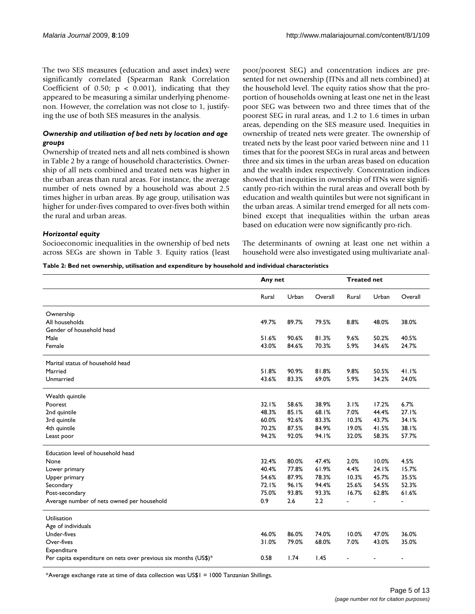The two SES measures (education and asset index) were significantly correlated (Spearman Rank Correlation Coefficient of 0.50;  $p \lt 0.001$ ), indicating that they appeared to be measuring a similar underlying phenomenon. However, the correlation was not close to 1, justifying the use of both SES measures in the analysis.

#### *Ownership and utilisation of bed nets by location and age groups*

Ownership of treated nets and all nets combined is shown in Table [2](#page-4-0) by a range of household characteristics. Ownership of all nets combined and treated nets was higher in the urban areas than rural areas. For instance, the average number of nets owned by a household was about 2.5 times higher in urban areas. By age group, utilisation was higher for under-fives compared to over-fives both within the rural and urban areas.

poor/poorest SEG) and concentration indices are presented for net ownership (ITNs and all nets combined) at the household level. The equity ratios show that the proportion of households owning at least one net in the least poor SEG was between two and three times that of the poorest SEG in rural areas, and 1.2 to 1.6 times in urban areas, depending on the SES measure used. Inequities in ownership of treated nets were greater. The ownership of treated nets by the least poor varied between nine and 11 times that for the poorest SEGs in rural areas and between three and six times in the urban areas based on education and the wealth index respectively. Concentration indices showed that inequities in ownership of ITNs were significantly pro-rich within the rural areas and overall both by education and wealth quintiles but were not significant in the urban areas. A similar trend emerged for all nets combined except that inequalities within the urban areas based on education were now significantly pro-rich.

#### *Horizontal equity*

Socioeconomic inequalities in the ownership of bed nets across SEGs are shown in Table [3.](#page-5-0) Equity ratios (least The determinants of owning at least one net within a household were also investigated using multivariate anal-

<span id="page-4-0"></span>**Table 2: Bed net ownership, utilisation and expenditure by household and individual characteristics**

|                                                                 | Any net |       | <b>Treated net</b> |       |       |                |
|-----------------------------------------------------------------|---------|-------|--------------------|-------|-------|----------------|
|                                                                 | Rural   | Urban | Overall            | Rural | Urban | Overall        |
| Ownership                                                       |         |       |                    |       |       |                |
| All households                                                  | 49.7%   | 89.7% | 79.5%              | 8.8%  | 48.0% | 38.0%          |
| Gender of household head                                        |         |       |                    |       |       |                |
| Male                                                            | 51.6%   | 90.6% | 81.3%              | 9.6%  | 50.2% | 40.5%          |
| Female                                                          | 43.0%   | 84.6% | 70.3%              | 5.9%  | 34.6% | 24.7%          |
| Marital status of household head                                |         |       |                    |       |       |                |
| Married                                                         | 51.8%   | 90.9% | 81.8%              | 9.8%  | 50.5% | 41.1%          |
| Unmarried                                                       | 43.6%   | 83.3% | 69.0%              | 5.9%  | 34.2% | 24.0%          |
| Wealth quintile                                                 |         |       |                    |       |       |                |
| Poorest                                                         | 32.1%   | 58.6% | 38.9%              | 3.1%  | 17.2% | 6.7%           |
| 2nd quintile                                                    | 48.3%   | 85.1% | 68.1%              | 7.0%  | 44.4% | 27.1%          |
| 3rd quintile                                                    | 60.0%   | 92.6% | 83.3%              | 10.3% | 43.7% | 34.1%          |
| 4th quintile                                                    | 70.2%   | 87.5% | 84.9%              | 19.0% | 41.5% | 38.1%          |
| Least poor                                                      | 94.2%   | 92.0% | 94.I%              | 32.0% | 58.3% | 57.7%          |
| Education level of household head                               |         |       |                    |       |       |                |
| None                                                            | 32.4%   | 80.0% | 47.4%              | 2.0%  | 10.0% | 4.5%           |
| Lower primary                                                   | 40.4%   | 77.8% | 61.9%              | 4.4%  | 24.1% | 15.7%          |
| Upper primary                                                   | 54.6%   | 87.9% | 78.3%              | 10.3% | 45.7% | 35.5%          |
| Secondary                                                       | 72.1%   | 96.1% | 94.4%              | 25.6% | 54.5% | 52.3%          |
| Post-secondary                                                  | 75.0%   | 93.8% | 93.3%              | 16.7% | 62.8% | 61.6%          |
| Average number of nets owned per household                      | 0.9     | 2.6   | 2.2                | ä,    |       | $\blacksquare$ |
| Utilisation                                                     |         |       |                    |       |       |                |
| Age of individuals                                              |         |       |                    |       |       |                |
| Under-fives                                                     | 46.0%   | 86.0% | 74.0%              | 10.0% | 47.0% | 36.0%          |
| Over-fives                                                      | 31.0%   | 79.0% | 68.0%              | 7.0%  | 43.0% | 35.0%          |
| Expenditure                                                     |         |       |                    |       |       |                |
| Per capita expenditure on nets over previous six months (US\$)* | 0.58    | 1.74  | 1.45               |       |       |                |

\*Average exchange rate at time of data collection was US\$1 = 1000 Tanzanian Shillings.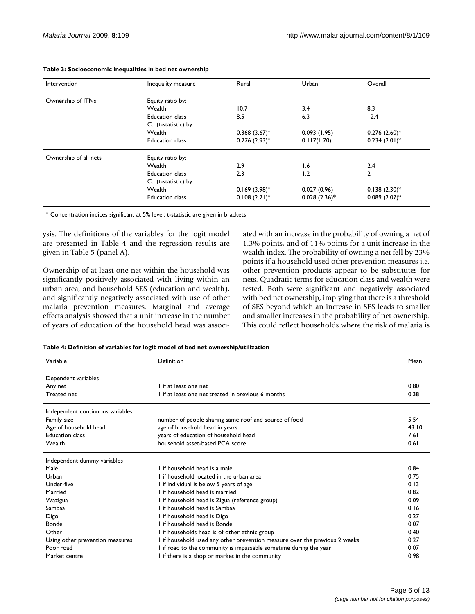| Intervention          | Inequality measure     | Rural           | Urban          | Overall         |  |  |  |
|-----------------------|------------------------|-----------------|----------------|-----------------|--|--|--|
| Ownership of ITNs     | Equity ratio by:       |                 |                |                 |  |  |  |
|                       | Wealth                 | 10.7            | 3.4            | 8.3             |  |  |  |
|                       | <b>Education class</b> | 8.5             | 6.3            | 12.4            |  |  |  |
|                       | C.I (t-statistic) by:  |                 |                |                 |  |  |  |
|                       | Wealth                 | $0.368(3.67)$ * | 0.093(1.95)    | $0.276(2.60)$ * |  |  |  |
|                       | <b>Education class</b> | $0.276(2.93)*$  | 0.117(1.70)    | $0.234(2.01)*$  |  |  |  |
| Ownership of all nets | Equity ratio by:       |                 |                |                 |  |  |  |
|                       | Wealth                 | 2.9             | 1.6            | 2.4             |  |  |  |
|                       | <b>Education class</b> | 2.3             | 1.2            | $\overline{2}$  |  |  |  |
|                       | C.I (t-statistic) by:  |                 |                |                 |  |  |  |
|                       | Wealth                 | $0.169(3.98)*$  | 0.027(0.96)    | $0.138(2.30)*$  |  |  |  |
|                       | <b>Education class</b> | $0.108(2.21)$ * | $0.028(2.36)*$ | $0.089(2.07)*$  |  |  |  |

#### <span id="page-5-0"></span>**Table 3: Socioeconomic inequalities in bed net ownership**

\* Concentration indices significant at 5% level; t-statistic are given in brackets

ysis. The definitions of the variables for the logit model are presented in Table [4](#page-5-1) and the regression results are given in Table [5](#page-6-0) (panel A).

Ownership of at least one net within the household was significantly positively associated with living within an urban area, and household SES (education and wealth), and significantly negatively associated with use of other malaria prevention measures. Marginal and average effects analysis showed that a unit increase in the number of years of education of the household head was associated with an increase in the probability of owning a net of 1.3% points, and of 11% points for a unit increase in the wealth index. The probability of owning a net fell by 23% points if a household used other prevention measures i.e. other prevention products appear to be substitutes for nets. Quadratic terms for education class and wealth were tested. Both were significant and negatively associated with bed net ownership, implying that there is a threshold of SES beyond which an increase in SES leads to smaller and smaller increases in the probability of net ownership. This could reflect households where the risk of malaria is

<span id="page-5-1"></span>

| Variable                         | Definition                                                                 | Mean  |
|----------------------------------|----------------------------------------------------------------------------|-------|
| Dependent variables              |                                                                            |       |
| Any net                          | I if at least one net                                                      | 0.80  |
| Treated net                      | I if at least one net treated in previous 6 months                         | 0.38  |
| Independent continuous variables |                                                                            |       |
| Family size                      | number of people sharing same roof and source of food                      | 5.54  |
| Age of household head            | age of household head in years                                             | 43.10 |
| <b>Education class</b>           | years of education of household head                                       | 7.61  |
| Wealth                           | household asset-based PCA score                                            | 0.61  |
| Independent dummy variables      |                                                                            |       |
| Male                             | I if household head is a male                                              | 0.84  |
| Urban                            | I if household located in the urban area                                   | 0.75  |
| Under-five                       | I if individual is below 5 years of age                                    | 0.13  |
| Married                          | if household head is married                                               | 0.82  |
| Wazigua                          | I if household head is Zigua (reference group)                             | 0.09  |
| Sambaa                           | I if household head is Sambaa                                              | 0.16  |
| Digo                             | I if household head is Digo                                                | 0.27  |
| Bondei                           | I if household head is Bondei                                              | 0.07  |
| Other                            | I if households head is of other ethnic group                              | 0.40  |
| Using other prevention measures  | I if household used any other prevention measure over the previous 2 weeks | 0.27  |
| Poor road                        | I if road to the community is impassable sometime during the year          | 0.07  |
| Market centre                    | I if there is a shop or market in the community                            | 0.98  |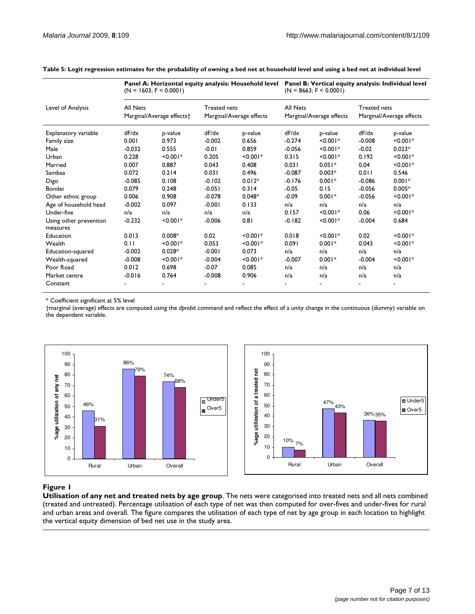|                                    | Panel A: Horizontal equity analysis: Household level<br>$(N = 1603; F < 0.0001)$ |            |                                                 |            | Panel B: Vertical equity analysis: Individual level<br>$(N = 8663; F < 0.0001)$ |                |                                          |            |
|------------------------------------|----------------------------------------------------------------------------------|------------|-------------------------------------------------|------------|---------------------------------------------------------------------------------|----------------|------------------------------------------|------------|
| Level of Analysis                  | All Nets<br>Marginal/Average effects <sup>+</sup>                                |            | <b>Treated nets</b><br>Marginal/Average effects |            | All Nets<br>Marginal/Average effects                                            |                | Treated nets<br>Marginal/Average effects |            |
| Explanatory variable               | dF/dx                                                                            | p-value    | dF/dx                                           | p-value    | dF/dx                                                                           | p-value        | dF/dx                                    | p-value    |
| Family size                        | 0.001                                                                            | 0.973      | $-0.002$                                        | 0.656      | $-0.274$                                                                        | $< 0.001*$     | $-0.008$                                 | $< 0.001*$ |
| Male                               | $-0.032$                                                                         | 0.555      | $-0.01$                                         | 0.859      | $-0.056$                                                                        | $< 0.001*$     | $-0.02$                                  | $0.023*$   |
| Urban                              | 0.228                                                                            | $< 0.001*$ | 0.205                                           | $< 0.001*$ | 0.315                                                                           | $< 0.001*$     | 0.192                                    | $< 0.001*$ |
| Married                            | 0.007                                                                            | 0.887      | 0.043                                           | 0.408      | 0.031                                                                           | $0.051*$       | 0.04                                     | $< 0.001*$ |
| Sambaa                             | 0.072                                                                            | 0.214      | 0.031                                           | 0.496      | $-0.087$                                                                        | $0.003*$       | 0.011                                    | 0.546      |
| Digo                               | $-0.085$                                                                         | 0.108      | $-0.102$                                        | $0.012*$   | $-0.176$                                                                        | $0.001*$       | $-0.086$                                 | $0.001*$   |
| Bondei                             | 0.079                                                                            | 0.248      | $-0.051$                                        | 0.314      | $-0.05$                                                                         | 0.15           | $-0.056$                                 | $0.005*$   |
| Other ethnic group                 | 0.006                                                                            | 0.908      | $-0.078$                                        | $0.048*$   | $-0.09$                                                                         | $0.001*$       | $-0.056$                                 | $< 0.001*$ |
| Age of household head              | $-0.002$                                                                         | 0.097      | $-0.001$                                        | 0.133      | n/a                                                                             | n/a            | n/a                                      | n/a        |
| Under-five                         | n/a                                                                              | n/a        | n/a                                             | n/a        | 0.157                                                                           | $< 0.001*$     | 0.06                                     | $< 0.001*$ |
| Using other prevention<br>measures | $-0.232$                                                                         | $< 0.001*$ | $-0.006$                                        | 0.81       | $-0.182$                                                                        | $< 0.001*$     | $-0.004$                                 | 0.684      |
| Education                          | 0.013                                                                            | $0.008*$   | 0.02                                            | $< 0.001*$ | 0.018                                                                           | $< 0.001*$     | 0.02                                     | $< 0.001*$ |
| Wealth                             | 0.11                                                                             | $< 0.001*$ | 0.053                                           | $< 0.001*$ | 0.091                                                                           | $0.001*$       | 0.043                                    | $< 0.001*$ |
| Education-squared                  | $-0.002$                                                                         | $0.028*$   | $-0.001$                                        | 0.073      | n/a                                                                             | n/a            | n/a                                      | n/a        |
| Wealth-squared                     | $-0.008$                                                                         | $< 0.001*$ | $-0.004$                                        | $< 0.001*$ | $-0.007$                                                                        | $0.001*$       | $-0.004$                                 | $< 0.001*$ |
| Poor Road                          | 0.012                                                                            | 0.698      | $-0.07$                                         | 0.085      | n/a                                                                             | n/a            | n/a                                      | n/a        |
| Market centre                      | $-0.016$                                                                         | 0.764      | $-0.008$                                        | 0.906      | n/a                                                                             | n/a            | n/a                                      | n/a        |
| Constant                           |                                                                                  |            | $\qquad \qquad \blacksquare$                    | ٠          |                                                                                 | $\blacksquare$ | $\overline{\phantom{0}}$                 |            |

<span id="page-6-0"></span>**Table 5: Logit regression estimates for the probability of owning a bed net at household level and using a bed net at individual level**

\* Coefficient significant at 5% level

†marginal (average) effects are computed using the *dprobit* command and reflect the effect of a unity change in the continuous (dummy) variable on the dependent variable.

<span id="page-6-1"></span>



#### Figure 1

**Utilisation of any net and treated nets by age group**. The nets were categorised into treated nets and all nets combined (treated and untreated). Percentage utilisation of each type of net was then computed for over-fives and under-fives for rural and urban areas and overall. The figure compares the utilisation of each type of net by age group in each location to highlight the vertical equity dimension of bed net use in the study area.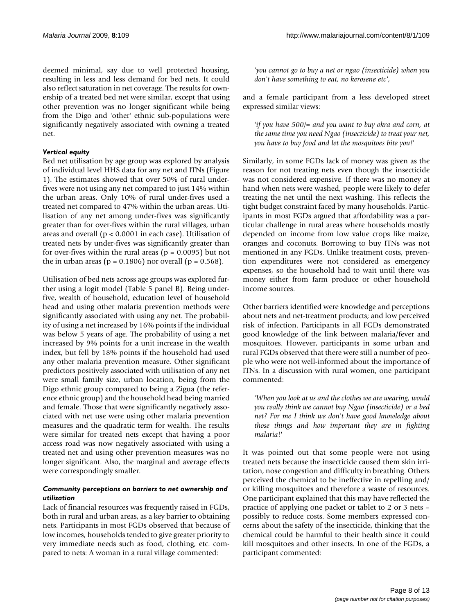deemed minimal, say due to well protected housing, resulting in less and less demand for bed nets. It could also reflect saturation in net coverage. The results for ownership of a treated bed net were similar, except that using other prevention was no longer significant while being from the Digo and 'other' ethnic sub-populations were significantly negatively associated with owning a treated net.

#### *Vertical equity*

Bed net utilisation by age group was explored by analysis of individual level HHS data for any net and ITNs (Figure [1\)](#page-6-1). The estimates showed that over 50% of rural underfives were not using any net compared to just 14% within the urban areas. Only 10% of rural under-fives used a treated net compared to 47% within the urban areas. Utilisation of any net among under-fives was significantly greater than for over-fives within the rural villages, urban areas and overall (p < 0.0001 in each case). Utilisation of treated nets by under-fives was significantly greater than for over-fives within the rural areas ( $p = 0.0095$ ) but not the in urban areas ( $p = 0.1806$ ) nor overall ( $p = 0.568$ ).

Utilisation of bed nets across age groups was explored further using a logit model (Table [5](#page-6-0) panel B). Being underfive, wealth of household, education level of household head and using other malaria prevention methods were significantly associated with using any net. The probability of using a net increased by 16% points if the individual was below 5 years of age. The probability of using a net increased by 9% points for a unit increase in the wealth index, but fell by 18% points if the household had used any other malaria prevention measure. Other significant predictors positively associated with utilisation of any net were small family size, urban location, being from the Digo ethnic group compared to being a Zigua (the reference ethnic group) and the household head being married and female. Those that were significantly negatively associated with net use were using other malaria prevention measures and the quadratic term for wealth. The results were similar for treated nets except that having a poor access road was now negatively associated with using a treated net and using other prevention measures was no longer significant. Also, the marginal and average effects were correspondingly smaller.

#### *Community perceptions on barriers to net ownership and utilisation*

Lack of financial resources was frequently raised in FGDs, both in rural and urban areas, as a key barrier to obtaining nets. Participants in most FGDs observed that because of low incomes, households tended to give greater priority to very immediate needs such as food, clothing, etc. compared to nets: A woman in a rural village commented:

*'you cannot go to buy a net or ngao (insecticide) when you don't have something to eat, no kerosene etc'*,

and a female participant from a less developed street expressed similar views:

'*if you have 500/= and you want to buy okra and corn, at the same time you need Ngao (insecticide) to treat your net, you have to buy food and let the mosquitoes bite you!*'

Similarly, in some FGDs lack of money was given as the reason for not treating nets even though the insecticide was not considered expensive. If there was no money at hand when nets were washed, people were likely to defer treating the net until the next washing. This reflects the tight budget constraint faced by many households. Participants in most FGDs argued that affordability was a particular challenge in rural areas where households mostly depended on income from low value crops like maize, oranges and coconuts. Borrowing to buy ITNs was not mentioned in any FGDs. Unlike treatment costs, prevention expenditures were not considered as emergency expenses, so the household had to wait until there was money either from farm produce or other household income sources.

Other barriers identified were knowledge and perceptions about nets and net-treatment products; and low perceived risk of infection. Participants in all FGDs demonstrated good knowledge of the link between malaria/fever and mosquitoes. However, participants in some urban and rural FGDs observed that there were still a number of people who were not well-informed about the importance of ITNs. In a discussion with rural women, one participant commented:

'*When you look at us and the clothes we are wearing, would you really think we cannot buy Ngao (insecticide) or a bed net? For me I think we don't have good knowledge about those things and how important they are in fighting malaria*!'

It was pointed out that some people were not using treated nets because the insecticide caused them skin irritation, nose congestion and difficulty in breathing. Others perceived the chemical to be ineffective in repelling and/ or killing mosquitoes and therefore a waste of resources. One participant explained that this may have reflected the practice of applying one packet or tablet to 2 or 3 nets – possibly to reduce costs. Some members expressed concerns about the safety of the insecticide, thinking that the chemical could be harmful to their health since it could kill mosquitoes and other insects. In one of the FGDs, a participant commented: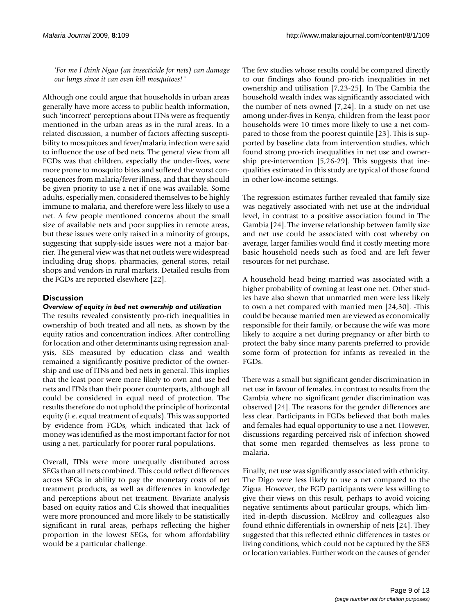*'For me I think Ngao (an insecticide for nets) can damage our lungs since it can even kill mosquitoes!"*

Although one could argue that households in urban areas generally have more access to public health information, such 'incorrect' perceptions about ITNs were as frequently mentioned in the urban areas as in the rural areas. In a related discussion, a number of factors affecting susceptibility to mosquitoes and fever/malaria infection were said to influence the use of bed nets. The general view from all FGDs was that children, especially the under-fives, were more prone to mosquito bites and suffered the worst consequences from malaria/fever illness, and that they should be given priority to use a net if one was available. Some adults, especially men, considered themselves to be highly immune to malaria, and therefore were less likely to use a net. A few people mentioned concerns about the small size of available nets and poor supplies in remote areas, but these issues were only raised in a minority of groups, suggesting that supply-side issues were not a major barrier. The general view was that net outlets were widespread including drug shops, pharmacies, general stores, retail shops and vendors in rural markets. Detailed results from the FGDs are reported elsewhere [\[22](#page-11-20)].

# **Discussion**

#### *Overview of equity in bed net ownership and utilisation*

The results revealed consistently pro-rich inequalities in ownership of both treated and all nets, as shown by the equity ratios and concentration indices. After controlling for location and other determinants using regression analysis, SES measured by education class and wealth remained a significantly positive predictor of the ownership and use of ITNs and bed nets in general. This implies that the least poor were more likely to own and use bed nets and ITNs than their poorer counterparts, although all could be considered in equal need of protection. The results therefore do not uphold the principle of horizontal equity (i.e. equal treatment of equals). This was supported by evidence from FGDs, which indicated that lack of money was identified as the most important factor for not using a net, particularly for poorer rural populations.

Overall, ITNs were more unequally distributed across SEGs than all nets combined. This could reflect differences across SEGs in ability to pay the monetary costs of net treatment products, as well as differences in knowledge and perceptions about net treatment. Bivariate analysis based on equity ratios and C.Is showed that inequalities were more pronounced and more likely to be statistically significant in rural areas, perhaps reflecting the higher proportion in the lowest SEGs, for whom affordability would be a particular challenge.

The few studies whose results could be compared directly to our findings also found pro-rich inequalities in net ownership and utilisation [\[7,](#page-11-6)[23](#page-11-21)[-25\]](#page-11-22). In The Gambia the household wealth index was significantly associated with the number of nets owned [\[7](#page-11-6)[,24](#page-11-23)]. In a study on net use among under-fives in Kenya, children from the least poor households were 10 times more likely to use a net compared to those from the poorest quintile [[23](#page-11-21)]. This is supported by baseline data from intervention studies, which found strong pro-rich inequalities in net use and ownership pre-intervention [\[5](#page-11-4)[,26](#page-11-24)[-29](#page-11-25)]. This suggests that inequalities estimated in this study are typical of those found in other low-income settings.

The regression estimates further revealed that family size was negatively associated with net use at the individual level, in contrast to a positive association found in The Gambia [\[24\]](#page-11-23). The inverse relationship between family size and net use could be associated with cost whereby on average, larger families would find it costly meeting more basic household needs such as food and are left fewer resources for net purchase.

A household head being married was associated with a higher probability of owning at least one net. Other studies have also shown that unmarried men were less likely to own a net compared with married men [\[24](#page-11-23)[,30](#page-12-0)]. -This could be because married men are viewed as economically responsible for their family, or because the wife was more likely to acquire a net during pregnancy or after birth to protect the baby since many parents preferred to provide some form of protection for infants as revealed in the FGDs.

There was a small but significant gender discrimination in net use in favour of females, in contrast to results from the Gambia where no significant gender discrimination was observed [\[24](#page-11-23)]. The reasons for the gender differences are less clear. Participants in FGDs believed that both males and females had equal opportunity to use a net. However, discussions regarding perceived risk of infection showed that some men regarded themselves as less prone to malaria.

Finally, net use was significantly associated with ethnicity. The Digo were less likely to use a net compared to the Zigua. However, the FGD participants were less willing to give their views on this result, perhaps to avoid voicing negative sentiments about particular groups, which limited in-depth discussion. McElroy and colleagues also found ethnic differentials in ownership of nets [[24](#page-11-23)]. They suggested that this reflected ethnic differences in tastes or living conditions, which could not be captured by the SES or location variables. Further work on the causes of gender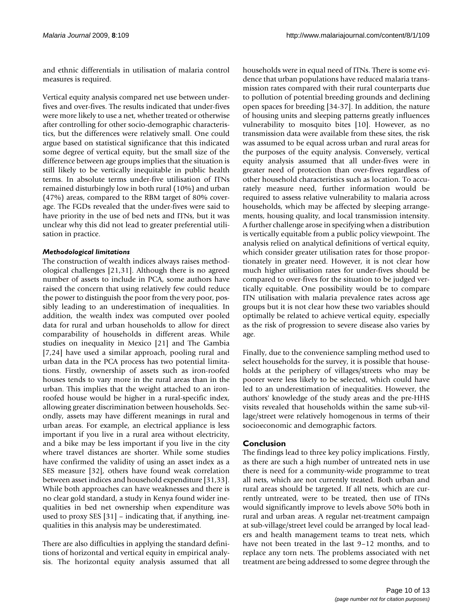and ethnic differentials in utilisation of malaria control measures is required.

Vertical equity analysis compared net use between underfives and over-fives. The results indicated that under-fives were more likely to use a net, whether treated or otherwise after controlling for other socio-demographic characteristics, but the differences were relatively small. One could argue based on statistical significance that this indicated some degree of vertical equity, but the small size of the difference between age groups implies that the situation is still likely to be vertically inequitable in public health terms. In absolute terms under-five utilisation of ITNs remained disturbingly low in both rural (10%) and urban (47%) areas, compared to the RBM target of 80% coverage. The FGDs revealed that the under-fives were said to have priority in the use of bed nets and ITNs, but it was unclear why this did not lead to greater preferential utilisation in practice.

#### *Methodological limitations*

The construction of wealth indices always raises methodological challenges [\[21](#page-11-18),[31\]](#page-12-1). Although there is no agreed number of assets to include in PCA, some authors have raised the concern that using relatively few could reduce the power to distinguish the poor from the very poor, possibly leading to an underestimation of inequalities. In addition, the wealth index was computed over pooled data for rural and urban households to allow for direct comparability of households in different areas. While studies on inequality in Mexico [\[21\]](#page-11-18) and The Gambia [[7](#page-11-6)[,24](#page-11-23)] have used a similar approach, pooling rural and urban data in the PCA process has two potential limitations. Firstly, ownership of assets such as iron-roofed houses tends to vary more in the rural areas than in the urban. This implies that the weight attached to an ironroofed house would be higher in a rural-specific index, allowing greater discrimination between households. Secondly, assets may have different meanings in rural and urban areas. For example, an electrical appliance is less important if you live in a rural area without electricity, and a bike may be less important if you live in the city where travel distances are shorter. While some studies have confirmed the validity of using an asset index as a SES measure [[32\]](#page-12-2), others have found weak correlation between asset indices and household expenditure [[31](#page-12-1)[,33](#page-12-3)]. While both approaches can have weaknesses and there is no clear gold standard, a study in Kenya found wider inequalities in bed net ownership when expenditure was used to proxy SES [[31](#page-12-1)] – indicating that, if anything, inequalities in this analysis may be underestimated.

There are also difficulties in applying the standard definitions of horizontal and vertical equity in empirical analysis. The horizontal equity analysis assumed that all

households were in equal need of ITNs. There is some evidence that urban populations have reduced malaria transmission rates compared with their rural counterparts due to pollution of potential breeding grounds and declining open spaces for breeding [\[34](#page-12-4)[-37](#page-12-5)]. In addition, the nature of housing units and sleeping patterns greatly influences vulnerability to mosquito bites [[10\]](#page-11-9). However, as no transmission data were available from these sites, the risk was assumed to be equal across urban and rural areas for the purposes of the equity analysis. Conversely, vertical equity analysis assumed that all under-fives were in greater need of protection than over-fives regardless of other household characteristics such as location. To accurately measure need, further information would be required to assess relative vulnerability to malaria across households, which may be affected by sleeping arrangements, housing quality, and local transmission intensity. A further challenge arose in specifying when a distribution is vertically equitable from a public policy viewpoint. The analysis relied on analytical definitions of vertical equity, which consider greater utilisation rates for those proportionately in greater need. However, it is not clear how much higher utilisation rates for under-fives should be compared to over-fives for the situation to be judged vertically equitable. One possibility would be to compare ITN utilisation with malaria prevalence rates across age groups but it is not clear how these two variables should optimally be related to achieve vertical equity, especially as the risk of progression to severe disease also varies by age.

Finally, due to the convenience sampling method used to select households for the survey, it is possible that households at the periphery of villages/streets who may be poorer were less likely to be selected, which could have led to an underestimation of inequalities. However, the authors' knowledge of the study areas and the pre-HHS visits revealed that households within the same sub-village/street were relatively homogenous in terms of their socioeconomic and demographic factors.

# **Conclusion**

The findings lead to three key policy implications. Firstly, as there are such a high number of untreated nets in use there is need for a community-wide programme to treat all nets, which are not currently treated. Both urban and rural areas should be targeted. If all nets, which are currently untreated, were to be treated, then use of ITNs would significantly improve to levels above 50% both in rural and urban areas. A regular net-treatment campaign at sub-village/street level could be arranged by local leaders and health management teams to treat nets, which have not been treated in the last 9-12 months, and to replace any torn nets. The problems associated with net treatment are being addressed to some degree through the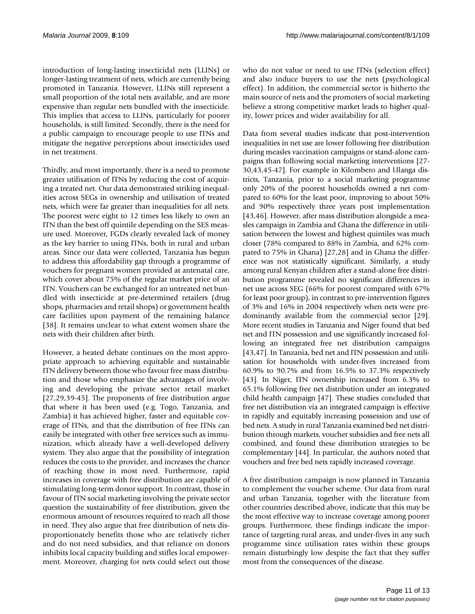introduction of long-lasting insecticidal nets (LLINs) or longer-lasting treatment of nets, which are currently being promoted in Tanzania. However, LLINs still represent a small proportion of the total nets available, and are more expensive than regular nets bundled with the insecticide. This implies that access to LLINs, particularly for poorer households, is still limited. Secondly, there is the need for a public campaign to encourage people to use ITNs and mitigate the negative perceptions about insecticides used in net treatment.

Thirdly, and most importantly, there is a need to promote greater utilisation of ITNs by reducing the cost of acquiring a treated net. Our data demonstrated striking inequalities across SEGs in ownership and utilisation of treated nets, which were far greater than inequalities for all nets. The poorest were eight to 12 times less likely to own an ITN than the best off quintile depending on the SES measure used. Moreover, FGDs clearly revealed lack of money as the key barrier to using ITNs, both in rural and urban areas. Since our data were collected, Tanzania has begun to address this affordability gap through a programme of vouchers for pregnant women provided at antenatal care, which cover about 75% of the regular market price of an ITN. Vouchers can be exchanged for an untreated net bundled with insecticide at pre-determined retailers (drug shops, pharmacies and retail shops) or government health care facilities upon payment of the remaining balance [[38](#page-12-6)]. It remains unclear to what extent women share the nets with their children after birth.

However, a heated debate continues on the most appropriate approach to achieving equitable and sustainable ITN delivery between those who favour free mass distribution and those who emphasize the advantages of involving and developing the private sector retail market [[27](#page-11-26),[29](#page-11-25)[,39](#page-12-7)[-45\]](#page-12-8). The proponents of free distribution argue that where it has been used (e.g. Togo, Tanzania, and Zambia) it has achieved higher, faster and equitable coverage of ITNs, and that the distribution of free ITNs can easily be integrated with other free services such as immunization, which already have a well-developed delivery system. They also argue that the possibility of integration reduces the costs to the provider, and increases the chance of reaching those in most need. Furthermore, rapid increases in coverage with free distribution are capable of stimulating long-term donor support. In contrast, those in favour of ITN social marketing involving the private sector question the sustainability of free distribution, given the enormous amount of resources required to reach all those in need. They also argue that free distribution of nets disproportionately benefits those who are relatively richer and do not need subsidies, and that reliance on donors inhibits local capacity building and stifles local empowerment. Moreover, charging for nets could select out those

who do not value or need to use ITNs (selection effect) and also induce buyers to use the nets (psychological effect). In addition, the commercial sector is hitherto the main source of nets and the promoters of social marketing believe a strong competitive market leads to higher quality, lower prices and wider availability for all.

Data from several studies indicate that post-intervention inequalities in net use are lower following free distribution during measles vaccination campaigns or stand-alone campaigns than following social marketing interventions [\[27](#page-11-26)- [30](#page-12-0)[,43](#page-12-9),[45](#page-12-8)[-47](#page-12-10)]. For example in Kilombero and Ulanga districts, Tanzania, prior to a social marketing programme only 20% of the poorest households owned a net compared to 60% for the least poor, improving to about 50% and 90% respectively three years post implementation [\[43](#page-12-9),[46\]](#page-12-11). However, after mass distribution alongside a measles campaign in Zambia and Ghana the difference in utilisation between the lowest and highest quintiles was much closer (78% compared to 88% in Zambia, and 62% compared to 75% in Ghana) [\[27](#page-11-26)[,28](#page-11-27)] and in Ghana the difference was not statistically significant. Similarly, a study among rural Kenyan children after a stand-alone free distribution programme revealed no significant differences in net use across SEG (66% for poorest compared with 67% for least poor group), in contrast to pre-intervention figures of 3% and 16% in 2004 respectively when nets were predominantly available from the commercial sector [\[29](#page-11-25)]. More recent studies in Tanzania and Niger found that bed net and ITN possession and use significantly increased following an integrated free net distribution campaigns [\[43](#page-12-9),[47\]](#page-12-10). In Tanzania, bed net and ITN possession and utilisation for households with under-fives increased from 60.9% to 90.7% and from 16.5% to 37.3% respectively [\[43](#page-12-9)]. In Niger, ITN ownership increased from 6.3% to 65.1% following free net distribution under an integrated child health campaign [\[47](#page-12-10)]. These studies concluded that free net distribution via an integrated campaign is effective in rapidly and equitably increasing possession and use of bed nets. A study in rural Tanzania examined bed net distribution through markets, voucher subsidies and free nets all combined, and found these distribution strategies to be complementary [\[44](#page-12-12)]. In particular, the authors noted that vouchers and free bed nets rapidly increased coverage.

A free distribution campaign is now planned in Tanzania to complement the voucher scheme. Our data from rural and urban Tanzania, together with the literature from other countries described above, indicate that this may be the most effective way to increase coverage among poorer groups. Furthermore, these findings indicate the importance of targeting rural areas, and under-fives in any such programme since utilisation rates within these groups remain disturbingly low despite the fact that they suffer most from the consequences of the disease.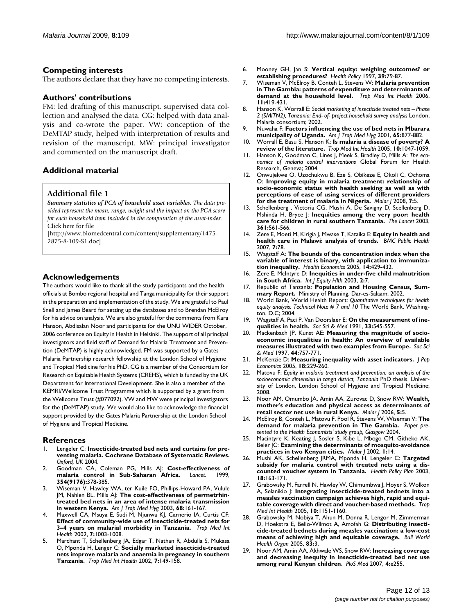#### **Competing interests**

The authors declare that they have no competing interests.

#### **Authors' contributions**

FM: led drafting of this manuscript, supervised data collection and analysed the data. CG: helped with data analysis and co-wrote the paper. VW: conception of the DeMTAP study, helped with interpretation of results and revision of the manuscript. MW: principal investigator and commented on the manuscript draft.

### **Additional material**

#### <span id="page-11-19"></span>**Additional file 1**

*Summary statistics of PCA of household asset variables. The data provided represent the mean, range, weight and the impact on the PCA score for each household item included in the computation of the asset-index.* Click here for file

[\[http://www.biomedcentral.com/content/supplementary/1475-](http://www.biomedcentral.com/content/supplementary/1475-2875-8-109-S1.doc) 2875-8-109-S1.doc]

### **Acknowledgements**

The authors would like to thank all the study participants and the health officials at Bombo regional hospital and Tanga municipality for their support in the preparation and implementation of the study. We are grateful to Paul Snell and James Beard for setting up the databases and to Brendan McElroy for his advice on analysis. We are also grateful for the comments from Kara Hanson, Abdisalan Noor and participants for the UNU WIDER October, 2006 conference on Equity in Health in Helsinki. The support of all principal investigators and field staff of Demand for Malaria Treatment and Prevention (DeMTAP) is highly acknowledged. FM was supported by a Gates Malaria Partnership research fellowship at the London School of Hygiene and Tropical Medicine for his PhD. CG is a member of the Consortium for Research on Equitable Health Systems (CREHS), which is funded by the UK Department for International Development. She is also a member of the KEMRI/Wellcome Trust Programme which is supported by a grant from the Wellcome Trust (#077092). VW and MW were principal investigators for the (DeMTAP) study. We would also like to acknowledge the financial support provided by the Gates Malaria Partnership at the London School of Hygiene and Tropical Medicine.

#### **References**

- <span id="page-11-0"></span>1. Lengeler C: **Insecticide-treated bed nets and curtains for preventing malaria. Cochrane Database of Systematic Reviews.** *Oxford, UK* 2004.
- <span id="page-11-1"></span>2. Goodman CA, Coleman PG, Mills AJ: **[Cost-effectiveness of](http://www.ncbi.nlm.nih.gov/entrez/query.fcgi?cmd=Retrieve&db=PubMed&dopt=Abstract&list_uids=10437867) [malaria control in Sub-Saharan Africa.](http://www.ncbi.nlm.nih.gov/entrez/query.fcgi?cmd=Retrieve&db=PubMed&dopt=Abstract&list_uids=10437867)** *Lancet.* 1999, **354(9176):**378-385.
- <span id="page-11-2"></span>3. Wiseman V, Hawley WA, ter Kuile FO, Phillips-Howard PA, Vulule JM, Nahlen BL, Mills AJ: **[The cost-effectiveness of permetrhin](http://www.ncbi.nlm.nih.gov/entrez/query.fcgi?cmd=Retrieve&db=PubMed&dopt=Abstract&list_uids=12749500)[treated bed nets in an area of intense malaria transmission](http://www.ncbi.nlm.nih.gov/entrez/query.fcgi?cmd=Retrieve&db=PubMed&dopt=Abstract&list_uids=12749500) [in western Kenya.](http://www.ncbi.nlm.nih.gov/entrez/query.fcgi?cmd=Retrieve&db=PubMed&dopt=Abstract&list_uids=12749500)** *Am J Trop Med Hyg* 2003, **68:**161-167.
- <span id="page-11-3"></span>4. Maxwell CA, Msuya E, Sudi M, Njunwa KJ, Carnerio IA, Curtis CF: **[Effect of community-wide use of insecticide-treated nets for](http://www.ncbi.nlm.nih.gov/entrez/query.fcgi?cmd=Retrieve&db=PubMed&dopt=Abstract&list_uids=12460390) [3–4 years on malarial morbidity in Tanzania.](http://www.ncbi.nlm.nih.gov/entrez/query.fcgi?cmd=Retrieve&db=PubMed&dopt=Abstract&list_uids=12460390)** *Trop Med Int Health* 2002, **7:**1003-1008.
- <span id="page-11-4"></span>5. Marchant T, Schellenberg JA, Edgar T, Nathan R, Abdulla S, Mukasa O, Mponda H, Lenger C: **[Socially marketed insecticide-treated](http://www.ncbi.nlm.nih.gov/entrez/query.fcgi?cmd=Retrieve&db=PubMed&dopt=Abstract&list_uids=11841705) [nets improve malaria and anaemia in pregnancy in southern](http://www.ncbi.nlm.nih.gov/entrez/query.fcgi?cmd=Retrieve&db=PubMed&dopt=Abstract&list_uids=11841705) [Tanzania.](http://www.ncbi.nlm.nih.gov/entrez/query.fcgi?cmd=Retrieve&db=PubMed&dopt=Abstract&list_uids=11841705)** *Trop Med Int Health* 2002, **7:**149-158.
- <span id="page-11-5"></span>6. Mooney GH, Jan S: **[Vertical equity: weighing outcomes? or](http://www.ncbi.nlm.nih.gov/entrez/query.fcgi?cmd=Retrieve&db=PubMed&dopt=Abstract&list_uids=10164908) [establishing procedures?](http://www.ncbi.nlm.nih.gov/entrez/query.fcgi?cmd=Retrieve&db=PubMed&dopt=Abstract&list_uids=10164908)** *Health Policy* 1997, **39:**79-87.
- <span id="page-11-6"></span>7. Wiseman V, McElroy B, Conteh L, Stevens W: **[Malaria prevention](http://www.ncbi.nlm.nih.gov/entrez/query.fcgi?cmd=Retrieve&db=PubMed&dopt=Abstract&list_uids=16553925) [in The Gambia: patterns of expenditure and determinants of](http://www.ncbi.nlm.nih.gov/entrez/query.fcgi?cmd=Retrieve&db=PubMed&dopt=Abstract&list_uids=16553925) [demand at the household level.](http://www.ncbi.nlm.nih.gov/entrez/query.fcgi?cmd=Retrieve&db=PubMed&dopt=Abstract&list_uids=16553925)** *Trop Med Int Health* 2006, **11:**419-431.
- <span id="page-11-7"></span>8. Hanson K, Worrall E: *Social marketing of insecticide treated nets – Phase 2 (SMITN2), Tanzania: End- of- project household survey analysis* London, Malaria consortium; 2002.
- <span id="page-11-8"></span>9. Nuwaha F: **[Factors influencing the use of bed nets in Mbarara](http://www.ncbi.nlm.nih.gov/entrez/query.fcgi?cmd=Retrieve&db=PubMed&dopt=Abstract&list_uids=11791991) [municipality of Uganda.](http://www.ncbi.nlm.nih.gov/entrez/query.fcgi?cmd=Retrieve&db=PubMed&dopt=Abstract&list_uids=11791991)** *Am J Trop Med Hyg* 2001, **65:**877-882.
- <span id="page-11-9"></span>10. Worrall E, Basu S, Hanson K: **[Is malaria a disease of poverty? A](http://www.ncbi.nlm.nih.gov/entrez/query.fcgi?cmd=Retrieve&db=PubMed&dopt=Abstract&list_uids=16185240) [review of the literature.](http://www.ncbi.nlm.nih.gov/entrez/query.fcgi?cmd=Retrieve&db=PubMed&dopt=Abstract&list_uids=16185240)** *Trop Med Int Health* 2005, **10:**1047-1059.
- <span id="page-11-10"></span>11. Hanson K, Goodman C, Lines J, Meek S, Bradley D, Mills A: *The economics of malaria control interventions* Global Forum for Health Research, Geneva; 2004.
- <span id="page-11-11"></span>12. Onwujekwe O, Uzochukwu B, Eze S, Obikeze E, Okoli C, Ochoma O: **[Improving equity in malaria treatment: relationship of](http://www.ncbi.nlm.nih.gov/entrez/query.fcgi?cmd=Retrieve&db=PubMed&dopt=Abstract&list_uids=18182095) [socio-economic status with health seeking as well as with](http://www.ncbi.nlm.nih.gov/entrez/query.fcgi?cmd=Retrieve&db=PubMed&dopt=Abstract&list_uids=18182095) perceptions of ease of using services of different providers [for the treatment of malaria in Nigeria.](http://www.ncbi.nlm.nih.gov/entrez/query.fcgi?cmd=Retrieve&db=PubMed&dopt=Abstract&list_uids=18182095)** *Malar J* 2008, **7:**5.
- <span id="page-11-12"></span>13. Schellenberg , Victoria CG, Mushi A, De Savigny D, Scellenberg D, Mshinda H, Bryce J: **Inequities among the very poor: health care for children in rural southern Tanzania.** *The Lancet* 2003, **361:**561-566.
- 14. Zere E, Moeti M, Kirigia J, Mwase T, Kataika E: **[Equity in health and](http://www.ncbi.nlm.nih.gov/entrez/query.fcgi?cmd=Retrieve&db=PubMed&dopt=Abstract&list_uids=17504530) [health care in Malawi: analysis of trends.](http://www.ncbi.nlm.nih.gov/entrez/query.fcgi?cmd=Retrieve&db=PubMed&dopt=Abstract&list_uids=17504530)** *BMC Public Health* 2007, **7:**78.
- 15. Wagstaff A: **[The bounds of the concentration index when the](http://www.ncbi.nlm.nih.gov/entrez/query.fcgi?cmd=Retrieve&db=PubMed&dopt=Abstract&list_uids=15495147) [variable of interest is binary, with application to immuniza](http://www.ncbi.nlm.nih.gov/entrez/query.fcgi?cmd=Retrieve&db=PubMed&dopt=Abstract&list_uids=15495147)[tion inequality.](http://www.ncbi.nlm.nih.gov/entrez/query.fcgi?cmd=Retrieve&db=PubMed&dopt=Abstract&list_uids=15495147)** *Health Economics* 2005, **14:**429-432.
- <span id="page-11-13"></span>16. Zere E, McIntyre D: **Inequities in under-five child malnutrition in South Africa.** *Int J Equity Hlth* 2003, **2:**7.
- <span id="page-11-14"></span>17. Republic of Tanzania: **Population and Housing Census, Summary Report.** Ministry of Planning. Dar-es-Salaam; 2002.
- <span id="page-11-15"></span>18. World Bank, World Health Report: *Quantitative techniques for health equity analysis: Technical Note # 7 and 10* The World Bank, Washington, D.C; 2004.
- <span id="page-11-16"></span>19. Wagstaff A, Paci P, Van Doorslaer E: **[On the measurement of ine](http://www.ncbi.nlm.nih.gov/entrez/query.fcgi?cmd=Retrieve&db=PubMed&dopt=Abstract&list_uids=1962226)[qualities in health.](http://www.ncbi.nlm.nih.gov/entrez/query.fcgi?cmd=Retrieve&db=PubMed&dopt=Abstract&list_uids=1962226)** *Soc Sci & Med* 1991, **33:**545-557.
- <span id="page-11-17"></span>20. Mackenbach JP, Kunst AE: **[Measuring the magnitude of socio](http://www.ncbi.nlm.nih.gov/entrez/query.fcgi?cmd=Retrieve&db=PubMed&dopt=Abstract&list_uids=9080560)[economic inequalities in health: An overview of available](http://www.ncbi.nlm.nih.gov/entrez/query.fcgi?cmd=Retrieve&db=PubMed&dopt=Abstract&list_uids=9080560) [measures illustrated with two examples from Europe.](http://www.ncbi.nlm.nih.gov/entrez/query.fcgi?cmd=Retrieve&db=PubMed&dopt=Abstract&list_uids=9080560)** *Soc Sci & Med* 1997, **44:**757-771.
- <span id="page-11-18"></span>21. McKenzie D: **Measuring inequality with asset indicators.** *J Pop Economics* 2005, **18:**229-260.
- <span id="page-11-20"></span>22. Matovu F: *Equity in malaria treatment and prevention: an analysis of the socioeconomic dimension in tanga district, Tanzania* PhD thesis. University of London, London School of Hygiene and Tropical Medicine; 2008.
- <span id="page-11-21"></span>23. Noor AM, Omumbo JA, Amin AA, Zurovac D, Snow RW: **[Wealth,](http://www.ncbi.nlm.nih.gov/entrez/query.fcgi?cmd=Retrieve&db=PubMed&dopt=Abstract&list_uids=16436216) [mother's education and physical access as determinants of](http://www.ncbi.nlm.nih.gov/entrez/query.fcgi?cmd=Retrieve&db=PubMed&dopt=Abstract&list_uids=16436216) [retail sector net use in rural Kenya.](http://www.ncbi.nlm.nih.gov/entrez/query.fcgi?cmd=Retrieve&db=PubMed&dopt=Abstract&list_uids=16436216)** *Malar J* 2006, **5:**5.
- <span id="page-11-23"></span>24. McElroy B, Conteh L, Matovu F, Pool R, Stevens W, Wiseman V: **The demand for malaria prevention in The Gambia.** *Paper presented to the Health Economists' study group, Glasgow* 2004.
- <span id="page-11-22"></span>25. Macintyre K, Keating J, Sosler S, Kibe L, Mbogo CM, Githeko AK, Beier JC: **[Examining the determinants of mosquito-avoidance](http://www.ncbi.nlm.nih.gov/entrez/query.fcgi?cmd=Retrieve&db=PubMed&dopt=Abstract&list_uids=12495438) [practices in two Kenyan cities.](http://www.ncbi.nlm.nih.gov/entrez/query.fcgi?cmd=Retrieve&db=PubMed&dopt=Abstract&list_uids=12495438)** *Malar J* 2002, **1:**14.
- <span id="page-11-24"></span>26. Mushi AK, Schellenberg JRMA, Mponda H, Lengeler C: **[Targeted](http://www.ncbi.nlm.nih.gov/entrez/query.fcgi?cmd=Retrieve&db=PubMed&dopt=Abstract&list_uids=12740321) [subsidy for malaria control with treated nets using a dis](http://www.ncbi.nlm.nih.gov/entrez/query.fcgi?cmd=Retrieve&db=PubMed&dopt=Abstract&list_uids=12740321)[counted voucher system in Tanzania.](http://www.ncbi.nlm.nih.gov/entrez/query.fcgi?cmd=Retrieve&db=PubMed&dopt=Abstract&list_uids=12740321)** *Health Policy Plan* 2003, **18:**163-171.
- <span id="page-11-26"></span>27. Grabowsky M, Farrell N, Hawley W, Chimumbwa J, Hoyer S, Wolkon A, Selanikio J: **[Integrating insecticide-treated bednets into a](http://www.ncbi.nlm.nih.gov/entrez/query.fcgi?cmd=Retrieve&db=PubMed&dopt=Abstract&list_uids=16262740) [measles vaccination campaign achieves high, rapid and equi](http://www.ncbi.nlm.nih.gov/entrez/query.fcgi?cmd=Retrieve&db=PubMed&dopt=Abstract&list_uids=16262740)[table coverage with direct and voucher-based methods.](http://www.ncbi.nlm.nih.gov/entrez/query.fcgi?cmd=Retrieve&db=PubMed&dopt=Abstract&list_uids=16262740)** *Trop Med Int Health* 2005, **10:**1151-1160.
- <span id="page-11-27"></span>28. Grabowsky M, Nobiya T, Ahun M, Donna R, Lengor M, Zimmerman D, Hoekstra E, Bello-Wilmot A, Amofah G: **[Distributing insecti](http://www.ncbi.nlm.nih.gov/entrez/query.fcgi?cmd=Retrieve&db=PubMed&dopt=Abstract&list_uids=15682238)[cide-treated bednets during measles vaccination: a low-cost](http://www.ncbi.nlm.nih.gov/entrez/query.fcgi?cmd=Retrieve&db=PubMed&dopt=Abstract&list_uids=15682238) [means of achieving high and equitable coverage.](http://www.ncbi.nlm.nih.gov/entrez/query.fcgi?cmd=Retrieve&db=PubMed&dopt=Abstract&list_uids=15682238)** *Bull World Health Organ* 2005, **83:**3.
- <span id="page-11-25"></span>29. Noor AM, Amin AA, Akhwale WS, Snow RW: **[Increasing coverage](http://www.ncbi.nlm.nih.gov/entrez/query.fcgi?cmd=Retrieve&db=PubMed&dopt=Abstract&list_uids=17713981) [and decreasing inequity in insecticide-treated bed net use](http://www.ncbi.nlm.nih.gov/entrez/query.fcgi?cmd=Retrieve&db=PubMed&dopt=Abstract&list_uids=17713981) [among rural Kenyan children.](http://www.ncbi.nlm.nih.gov/entrez/query.fcgi?cmd=Retrieve&db=PubMed&dopt=Abstract&list_uids=17713981)** *PloS Med* 2007, **4:**e255.